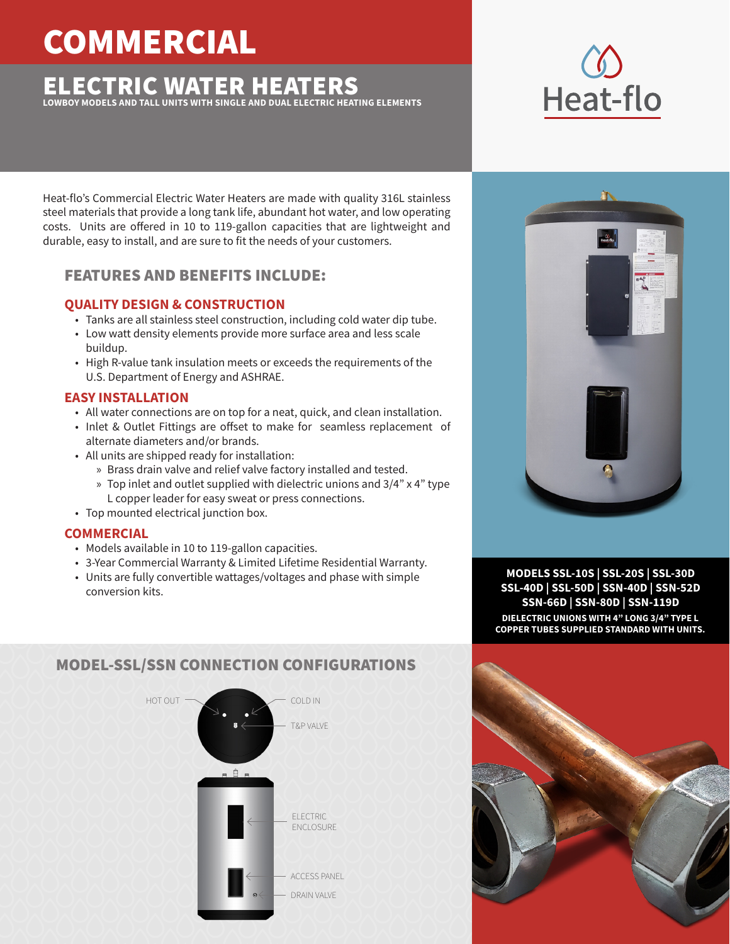# COMMERCIAL

# ELECTRIC WATER HEATERS **LOWBOY MODELS AND TALL UNITS WITH SINGLE AND DUAL ELECTRIC HEATING ELEMENTS**



Ì.

Heat-flo's Commercial Electric Water Heaters are made with quality 316L stainless steel materials that provide a long tank life, abundant hot water, and low operating costs. Units are offered in 10 to 119-gallon capacities that are lightweight and durable, easy to install, and are sure to fit the needs of your customers.

### FEATURES AND BENEFITS INCLUDE:

#### **QUALITY DESIGN & CONSTRUCTION**

- Tanks are all stainless steel construction, including cold water dip tube.
- Low watt density elements provide more surface area and less scale buildup.
- High R-value tank insulation meets or exceeds the requirements of the U.S. Department of Energy and ASHRAE.

#### **EASY INSTALLATION**

- All water connections are on top for a neat, quick, and clean installation.
- Inlet & Outlet Fittings are offset to make for seamless replacement of alternate diameters and/or brands.
- All units are shipped ready for installation:
	- » Brass drain valve and relief valve factory installed and tested.
	- » Top inlet and outlet supplied with dielectric unions and 3/4" x 4" type L copper leader for easy sweat or press connections.
- Top mounted electrical junction box.

#### **COMMERCIAL**

- Models available in 10 to 119-gallon capacities.
- 3-Year Commercial Warranty & Limited Lifetime Residential Warranty.
- Units are fully convertible wattages/voltages and phase with simple conversion kits.

**MODELS SSL-10S | SSL-20S | SSL-30D SSL-40D | SSL-50D | SSN-40D | SSN-52D SSN-66D | SSN-80D | SSN-119D DIELECTRIC UNIONS WITH 4" LONG 3/4" TYPE L COPPER TUBES SUPPLIED STANDARD WITH UNITS.**



### MODEL-SSL/SSN CONNECTION CONFIGURATIONS